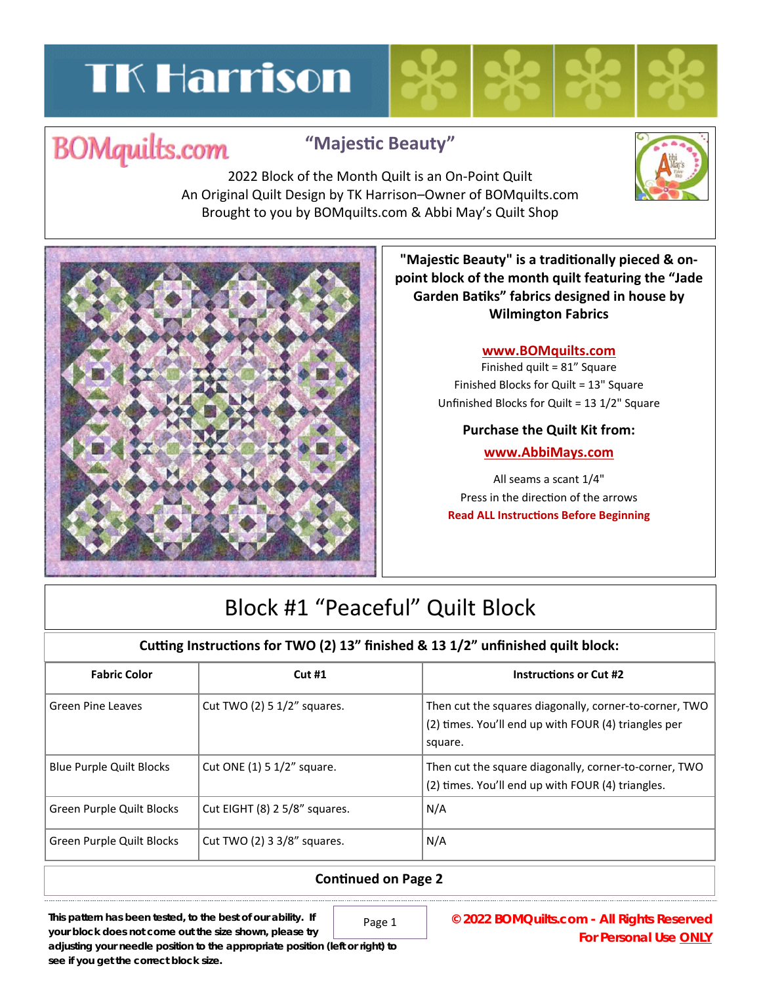# **TK Harrison**

## **BOMquilts.com**

### **"MajesƟc Beauty"**

2022 Block of the Month Quilt is an On‐Point Quilt An Original Quilt Design by TK Harrison–Owner of BOMquilts.com Brought to you by BOMquilts.com & Abbi May's Quilt Shop



**"MajesƟc Beauty" is a tradiƟonally pieced & on‐ point block of the month quilt featuring the "Jade Garden BaƟks" fabrics designed in house by Wilmington Fabrics**

#### **www.BOMquilts.com**

Finished quilt = 81" Square Finished Blocks for Quilt = 13" Square Unfinished Blocks for Quilt = 13 1/2" Square

#### **Purchase the Quilt Kit from:**

#### **www.AbbiMays.com**

All seams a scant 1/4" Press in the direction of the arrows **Read ALL Instructions Before Beginning** 

## Block #1 "Peaceful" Quilt Block

#### **Cuƫng InstrucƟons for TWO (2) 13" finished & 13 1/2" unfinished quilt block:**

| <b>Fabric Color</b>             | Cut#1                         | <b>Instructions or Cut #2</b>                                                                                             |
|---------------------------------|-------------------------------|---------------------------------------------------------------------------------------------------------------------------|
| Green Pine Leaves               | Cut TWO (2) 5 1/2" squares.   | Then cut the squares diagonally, corner-to-corner, TWO<br>(2) times. You'll end up with FOUR (4) triangles per<br>square. |
| <b>Blue Purple Quilt Blocks</b> | Cut ONE (1) 5 1/2" square.    | Then cut the square diagonally, corner-to-corner, TWO<br>(2) times. You'll end up with FOUR (4) triangles.                |
| Green Purple Quilt Blocks       | Cut EIGHT (8) 2 5/8" squares. | N/A                                                                                                                       |
| Green Purple Quilt Blocks       | Cut TWO (2) 3 3/8" squares.   | N/A                                                                                                                       |

#### **ConƟnued on Page 2**

**This pattern has been tested, to the best of our ability. If** 

Page 1

**© 2022 BOMQuilts.com - All Rights Reserved For Personal Use ONLY** 

**your block does not come out the size shown, please try adjusting your needle position to the appropriate position (left or right) to see if you get the correct block size.**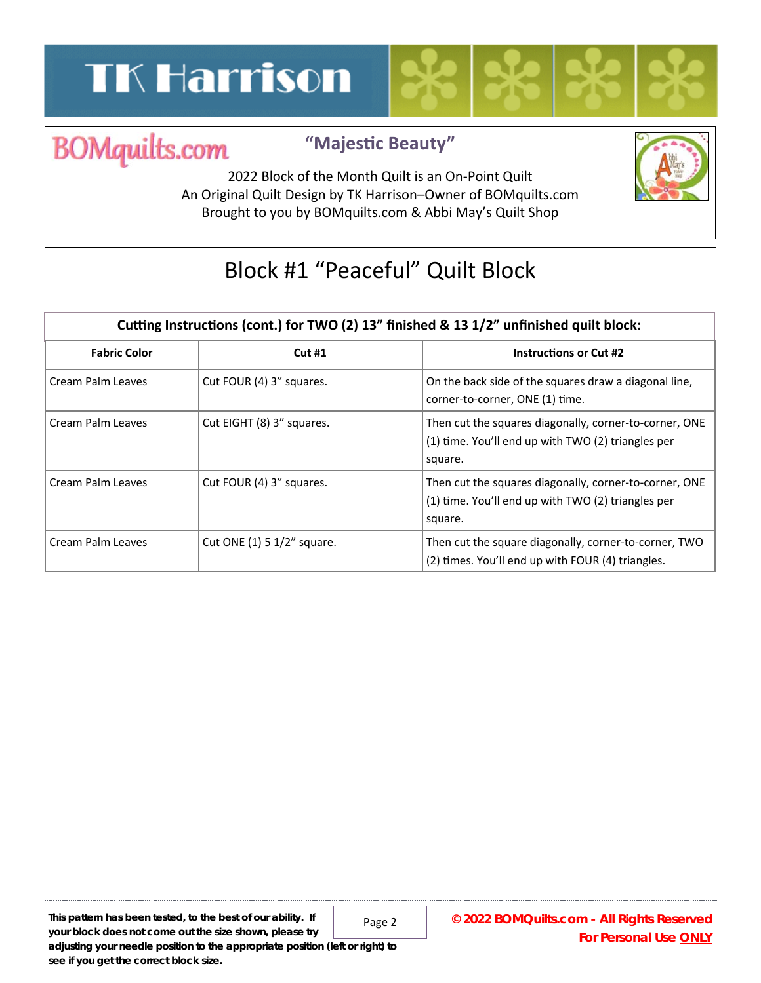# **TK Harrison**



### **"MajesƟc Beauty"**

**BOMquilts.com** 2022 Block of the Month Quilt is an On‐Point Quilt An Original Quilt Design by TK Harrison–Owner of BOMquilts.com Brought to you by BOMquilts.com & Abbi May's Quilt Shop



## Block #1 "Peaceful" Quilt Block

| Cutting Instructions (cont.) for TWO (2) 13" finished & 13 1/2" unfinished quilt block: |                            |                                                                                                                         |  |
|-----------------------------------------------------------------------------------------|----------------------------|-------------------------------------------------------------------------------------------------------------------------|--|
| <b>Fabric Color</b>                                                                     | Cut#1                      | <b>Instructions or Cut #2</b>                                                                                           |  |
| Cream Palm Leaves                                                                       | Cut FOUR (4) 3" squares.   | On the back side of the squares draw a diagonal line,<br>corner-to-corner, ONE (1) time.                                |  |
| Cream Palm Leaves                                                                       | Cut EIGHT (8) 3" squares.  | Then cut the squares diagonally, corner-to-corner, ONE<br>(1) time. You'll end up with TWO (2) triangles per<br>square. |  |
| Cream Palm Leaves                                                                       | Cut FOUR (4) 3" squares.   | Then cut the squares diagonally, corner-to-corner, ONE<br>(1) time. You'll end up with TWO (2) triangles per<br>square. |  |
| Cream Palm Leaves                                                                       | Cut ONE (1) 5 1/2" square. | Then cut the square diagonally, corner-to-corner, TWO<br>(2) times. You'll end up with FOUR (4) triangles.              |  |

Page 2